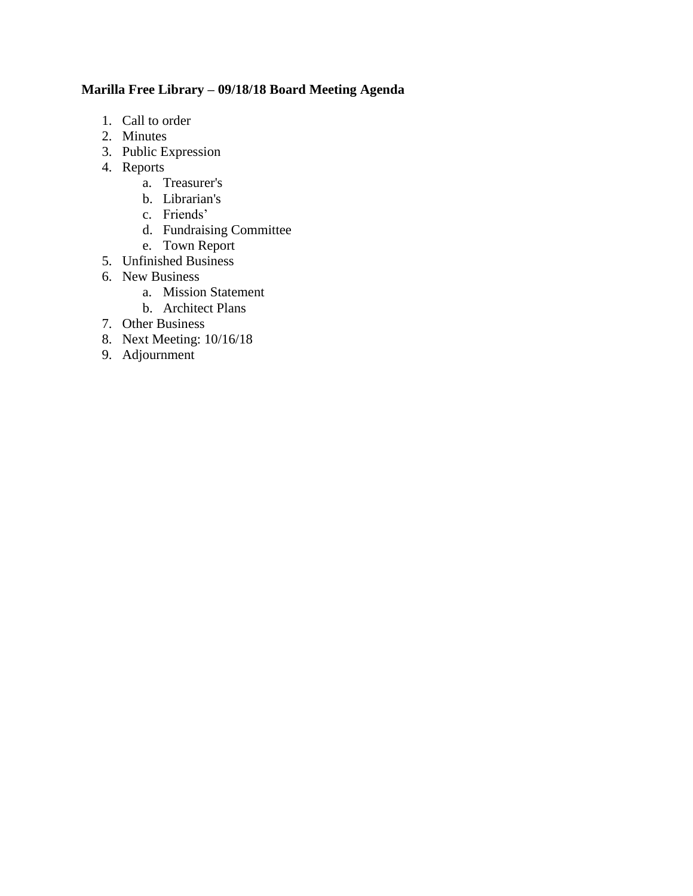# **Marilla Free Library – 09/18/18 Board Meeting Agenda**

- 1. Call to order
- 2. Minutes
- 3. Public Expression
- 4. Reports
	- a. Treasurer's
	- b. Librarian's
	- c. Friends'
	- d. Fundraising Committee
	- e. Town Report
- 5. Unfinished Business
- 6. New Business
	- a. Mission Statement
	- b. Architect Plans
- 7. Other Business
- 8. Next Meeting: 10/16/18
- 9. Adjournment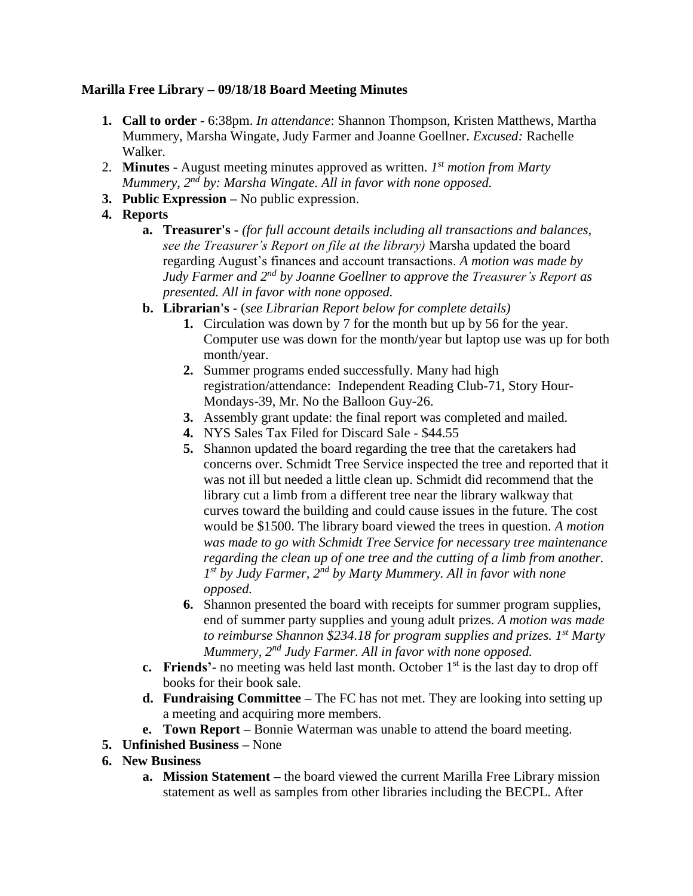# **Marilla Free Library – 09/18/18 Board Meeting Minutes**

- **1. Call to order** 6:38pm. *In attendance*: Shannon Thompson, Kristen Matthews, Martha Mummery, Marsha Wingate, Judy Farmer and Joanne Goellner. *Excused:* Rachelle Walker.
- 2. **Minutes -** August meeting minutes approved as written. *1 st motion from Marty Mummery, 2nd by: Marsha Wingate. All in favor with none opposed.*
- **3. Public Expression –** No public expression.
- **4. Reports**
	- **a. Treasurer's -** *(for full account details including all transactions and balances, see the Treasurer's Report on file at the library)* Marsha updated the board regarding August's finances and account transactions. *A motion was made by Judy Farmer and 2nd by Joanne Goellner to approve the Treasurer's Report as presented. All in favor with none opposed.*
	- **b. Librarian's -** (*see Librarian Report below for complete details)*
		- **1.** Circulation was down by 7 for the month but up by 56 for the year. Computer use was down for the month/year but laptop use was up for both month/year.
		- **2.** Summer programs ended successfully. Many had high registration/attendance: Independent Reading Club-71, Story Hour-Mondays-39, Mr. No the Balloon Guy-26.
		- **3.** Assembly grant update: the final report was completed and mailed.
		- **4.** NYS Sales Tax Filed for Discard Sale \$44.55
		- **5.** Shannon updated the board regarding the tree that the caretakers had concerns over. Schmidt Tree Service inspected the tree and reported that it was not ill but needed a little clean up. Schmidt did recommend that the library cut a limb from a different tree near the library walkway that curves toward the building and could cause issues in the future. The cost would be \$1500. The library board viewed the trees in question. *A motion was made to go with Schmidt Tree Service for necessary tree maintenance regarding the clean up of one tree and the cutting of a limb from another. 1 st by Judy Farmer, 2nd by Marty Mummery. All in favor with none opposed.*
		- **6.** Shannon presented the board with receipts for summer program supplies, end of summer party supplies and young adult prizes. *A motion was made to reimburse Shannon \$234.18 for program supplies and prizes. 1st Marty Mummery, 2nd Judy Farmer. All in favor with none opposed.*
	- **c. Friends'** no meeting was held last month. October 1<sup>st</sup> is the last day to drop off books for their book sale.
	- **d. Fundraising Committee –** The FC has not met. They are looking into setting up a meeting and acquiring more members.
	- **e. Town Report –** Bonnie Waterman was unable to attend the board meeting.
- **5. Unfinished Business –** None
- **6. New Business**
	- **a. Mission Statement –** the board viewed the current Marilla Free Library mission statement as well as samples from other libraries including the BECPL. After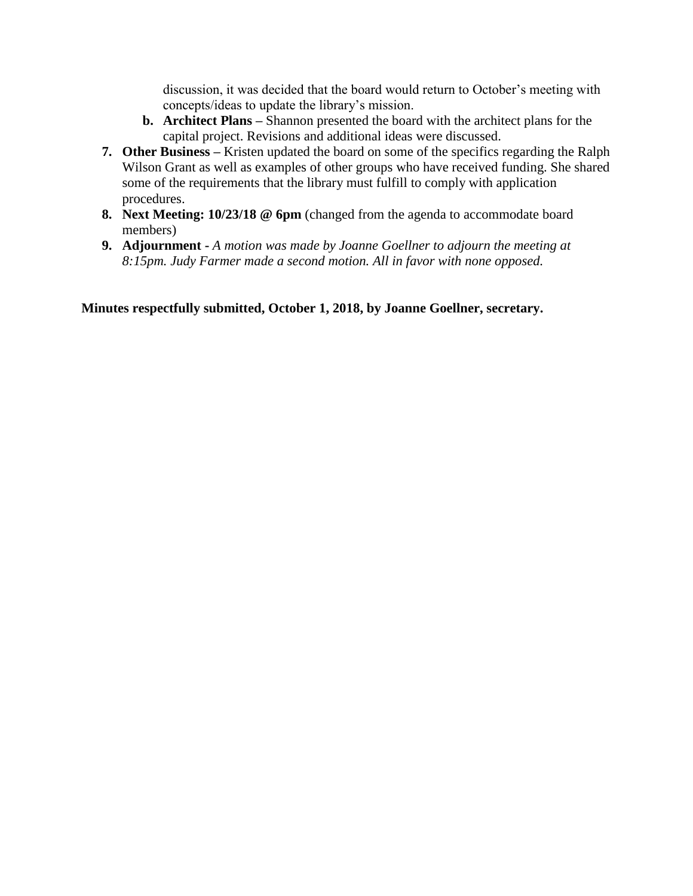discussion, it was decided that the board would return to October's meeting with concepts/ideas to update the library's mission.

- **b. Architect Plans –** Shannon presented the board with the architect plans for the capital project. Revisions and additional ideas were discussed.
- **7. Other Business –** Kristen updated the board on some of the specifics regarding the Ralph Wilson Grant as well as examples of other groups who have received funding. She shared some of the requirements that the library must fulfill to comply with application procedures.
- **8. Next Meeting: 10/23/18 @ 6pm** (changed from the agenda to accommodate board members)
- **9. Adjournment -** *A motion was made by Joanne Goellner to adjourn the meeting at 8:15pm. Judy Farmer made a second motion. All in favor with none opposed.*

**Minutes respectfully submitted, October 1, 2018, by Joanne Goellner, secretary.**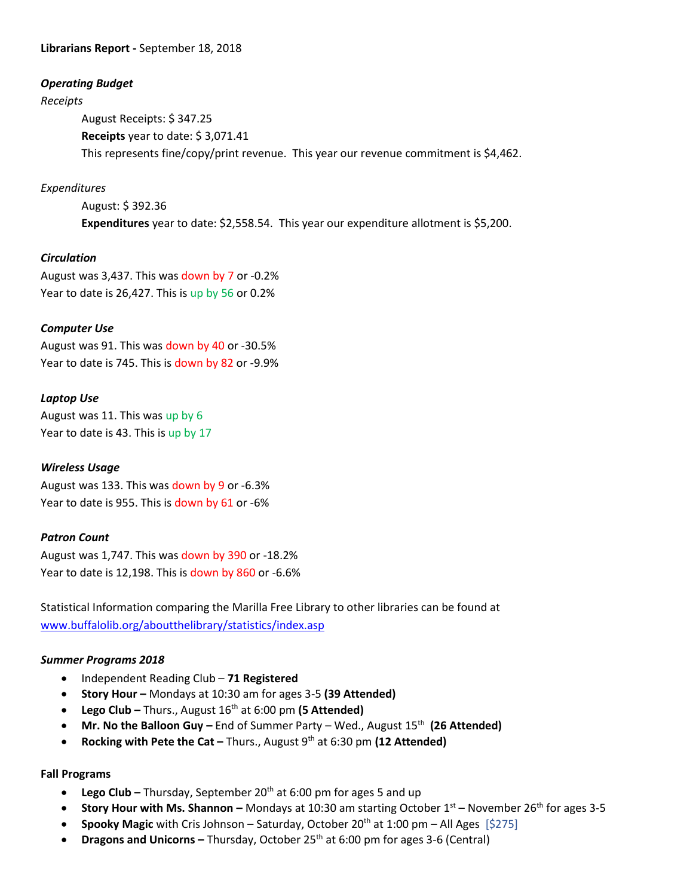# **Librarians Report -** September 18, 2018

# *Operating Budget*

#### *Receipts*

August Receipts: \$ 347.25 **Receipts** year to date: \$ 3,071.41 This represents fine/copy/print revenue. This year our revenue commitment is \$4,462.

# *Expenditures*

August: \$ 392.36 **Expenditures** year to date: \$2,558.54. This year our expenditure allotment is \$5,200.

# *Circulation*

August was 3,437. This was down by 7 or -0.2% Year to date is 26,427. This is up by 56 or 0.2%

# *Computer Use*

August was 91. This was down by 40 or -30.5% Year to date is 745. This is down by 82 or -9.9%

# *Laptop Use*

August was 11. This was up by 6 Year to date is 43. This is up by 17

#### *Wireless Usage*

August was 133. This was down by 9 or -6.3% Year to date is 955. This is down by 61 or -6%

#### *Patron Count*

August was 1,747. This was down by 390 or -18.2% Year to date is 12,198. This is down by 860 or -6.6%

Statistical Information comparing the Marilla Free Library to other libraries can be found at [www.buffalolib.org/aboutthelibrary/statistics/index.asp](http://www.buffalolib.org/aboutthelibrary/statistics/index.asp)

#### *Summer Programs 2018*

- Independent Reading Club **71 Registered**
- Story Hour Mondays at 10:30 am for ages 3-5 (39 Attended)
- **•** Lego Club Thurs., August 16<sup>th</sup> at 6:00 pm (5 Attended)
- **Mr. No the Balloon Guy** End of Summer Party Wed., August 15<sup>th</sup> (26 Attended)
- **Rocking with Pete the Cat –** Thurs., August 9<sup>th</sup> at 6:30 pm (12 Attended)

#### **Fall Programs**

- Lego Club Thursday, September 20<sup>th</sup> at 6:00 pm for ages 5 and up
- **Story Hour with Ms. Shannon –** Mondays at 10:30 am starting October 1<sup>st</sup> November 26<sup>th</sup> for ages 3-5
- **Spooky Magic** with Cris Johnson Saturday, October 20<sup>th</sup> at 1:00 pm All Ages [\$275]
- **Dragons and Unicorns –** Thursday, October 25<sup>th</sup> at 6:00 pm for ages 3-6 (Central)